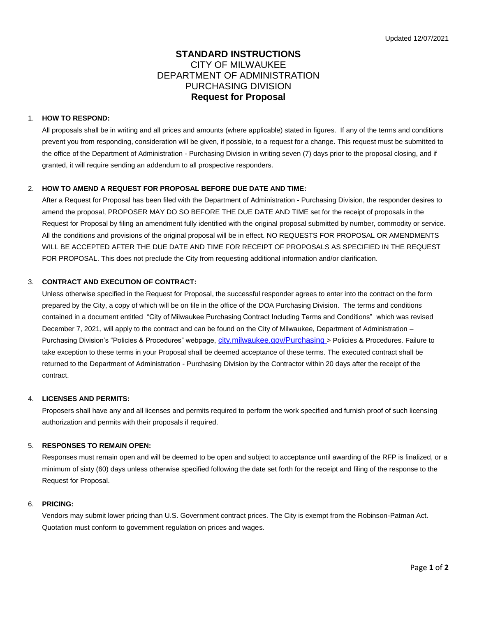# **STANDARD INSTRUCTIONS** CITY OF MILWAUKEE DEPARTMENT OF ADMINISTRATION PURCHASING DIVISION **Request for Proposal**

#### 1. **HOW TO RESPOND:**

All proposals shall be in writing and all prices and amounts (where applicable) stated in figures. If any of the terms and conditions prevent you from responding, consideration will be given, if possible, to a request for a change. This request must be submitted to the office of the Department of Administration - Purchasing Division in writing seven (7) days prior to the proposal closing, and if granted, it will require sending an addendum to all prospective responders.

# 2. **HOW TO AMEND A REQUEST FOR PROPOSAL BEFORE DUE DATE AND TIME:**

After a Request for Proposal has been filed with the Department of Administration - Purchasing Division, the responder desires to amend the proposal, PROPOSER MAY DO SO BEFORE THE DUE DATE AND TIME set for the receipt of proposals in the Request for Proposal by filing an amendment fully identified with the original proposal submitted by number, commodity or service. All the conditions and provisions of the original proposal will be in effect. NO REQUESTS FOR PROPOSAL OR AMENDMENTS WILL BE ACCEPTED AFTER THE DUE DATE AND TIME FOR RECEIPT OF PROPOSALS AS SPECIFIED IN THE REQUEST FOR PROPOSAL. This does not preclude the City from requesting additional information and/or clarification.

# 3. **CONTRACT AND EXECUTION OF CONTRACT:**

Unless otherwise specified in the Request for Proposal, the successful responder agrees to enter into the contract on the form prepared by the City, a copy of which will be on file in the office of the DOA Purchasing Division. The terms and conditions contained in a document entitled "City of Milwaukee Purchasing Contract Including Terms and Conditions" which was revised December 7, 2021, will apply to the contract and can be found on the City of Milwaukee, Department of Administration – Purchasing Division's "Policies & Procedures" webpage, [city.milwaukee.gov/Purchasing](https://city.milwaukee.gov/Purchasing) > Policies & Procedures. Failure to take exception to these terms in your Proposal shall be deemed acceptance of these terms. The executed contract shall be returned to the Department of Administration - Purchasing Division by the Contractor within 20 days after the receipt of the contract.

#### 4. **LICENSES AND PERMITS:**

Proposers shall have any and all licenses and permits required to perform the work specified and furnish proof of such licensing authorization and permits with their proposals if required.

#### 5. **RESPONSES TO REMAIN OPEN:**

Responses must remain open and will be deemed to be open and subject to acceptance until awarding of the RFP is finalized, or a minimum of sixty (60) days unless otherwise specified following the date set forth for the receipt and filing of the response to the Request for Proposal.

#### 6. **PRICING:**

Vendors may submit lower pricing than U.S. Government contract prices. The City is exempt from the Robinson-Patman Act. Quotation must conform to government regulation on prices and wages.